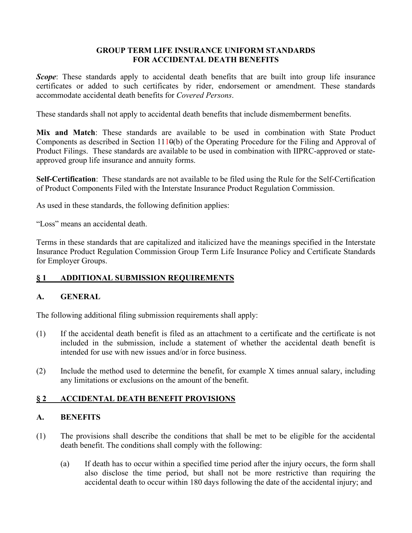# **GROUP TERM LIFE INSURANCE UNIFORM STANDARDS FOR ACCIDENTAL DEATH BENEFITS**

*Scope*: These standards apply to accidental death benefits that are built into group life insurance certificates or added to such certificates by rider, endorsement or amendment. These standards accommodate accidental death benefits for *Covered Persons*.

These standards shall not apply to accidental death benefits that include dismemberment benefits.

**Mix and Match**: These standards are available to be used in combination with State Product Components as described in Section 1110(b) of the Operating Procedure for the Filing and Approval of Product Filings. These standards are available to be used in combination with IIPRC-approved or stateapproved group life insurance and annuity forms.

**Self-Certification**: These standards are not available to be filed using the Rule for the Self-Certification of Product Components Filed with the Interstate Insurance Product Regulation Commission.

As used in these standards, the following definition applies:

"Loss" means an accidental death.

Terms in these standards that are capitalized and italicized have the meanings specified in the Interstate Insurance Product Regulation Commission Group Term Life Insurance Policy and Certificate Standards for Employer Groups.

# **§ 1 ADDITIONAL SUBMISSION REQUIREMENTS**

# **A. GENERAL**

The following additional filing submission requirements shall apply:

- (1) If the accidental death benefit is filed as an attachment to a certificate and the certificate is not included in the submission, include a statement of whether the accidental death benefit is intended for use with new issues and/or in force business.
- (2) Include the method used to determine the benefit, for example X times annual salary, including any limitations or exclusions on the amount of the benefit.

# **§ 2 ACCIDENTAL DEATH BENEFIT PROVISIONS**

### **A. BENEFITS**

- (1) The provisions shall describe the conditions that shall be met to be eligible for the accidental death benefit. The conditions shall comply with the following:
	- (a) If death has to occur within a specified time period after the injury occurs, the form shall also disclose the time period, but shall not be more restrictive than requiring the accidental death to occur within 180 days following the date of the accidental injury; and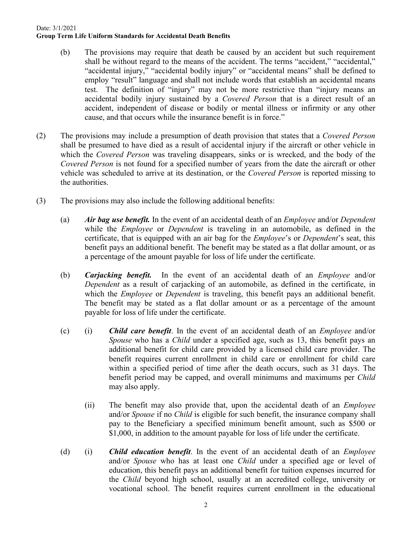- (b) The provisions may require that death be caused by an accident but such requirement shall be without regard to the means of the accident. The terms "accident," "accidental," "accidental injury," "accidental bodily injury" or "accidental means" shall be defined to employ "result" language and shall not include words that establish an accidental means test. The definition of "injury" may not be more restrictive than "injury means an accidental bodily injury sustained by a *Covered Person* that is a direct result of an accident, independent of disease or bodily or mental illness or infirmity or any other cause, and that occurs while the insurance benefit is in force."
- (2) The provisions may include a presumption of death provision that states that a *Covered Person* shall be presumed to have died as a result of accidental injury if the aircraft or other vehicle in which the *Covered Person* was traveling disappears, sinks or is wrecked, and the body of the *Covered Person* is not found for a specified number of years from the date the aircraft or other vehicle was scheduled to arrive at its destination, or the *Covered Person* is reported missing to the authorities.
- (3) The provisions may also include the following additional benefits:
	- (a) *Air bag use benefit.* In the event of an accidental death of an *Employee* and/or *Dependent* while the *Employee* or *Dependent* is traveling in an automobile, as defined in the certificate, that is equipped with an air bag for the *Employee*'s or *Dependent*'s seat, this benefit pays an additional benefit. The benefit may be stated as a flat dollar amount, or as a percentage of the amount payable for loss of life under the certificate.
	- (b) *Carjacking benefit.* In the event of an accidental death of an *Employee* and/or *Dependent* as a result of carjacking of an automobile, as defined in the certificate, in which the *Employee* or *Dependent* is traveling, this benefit pays an additional benefit. The benefit may be stated as a flat dollar amount or as a percentage of the amount payable for loss of life under the certificate.
	- (c) (i) *Child care benefit*. In the event of an accidental death of an *Employee* and/or *Spouse* who has a *Child* under a specified age, such as 13, this benefit pays an additional benefit for child care provided by a licensed child care provider. The benefit requires current enrollment in child care or enrollment for child care within a specified period of time after the death occurs, such as 31 days. The benefit period may be capped, and overall minimums and maximums per *Child* may also apply.
		- (ii) The benefit may also provide that, upon the accidental death of an *Employee* and/or *Spouse* if no *Child* is eligible for such benefit, the insurance company shall pay to the Beneficiary a specified minimum benefit amount, such as \$500 or \$1,000, in addition to the amount payable for loss of life under the certificate.
	- (d) (i) *Child education benefit*. In the event of an accidental death of an *Employee* and/or *Spouse* who has at least one *Child* under a specified age or level of education, this benefit pays an additional benefit for tuition expenses incurred for the *Child* beyond high school, usually at an accredited college, university or vocational school. The benefit requires current enrollment in the educational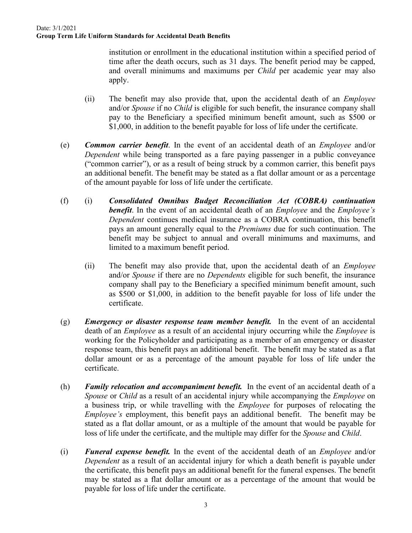institution or enrollment in the educational institution within a specified period of time after the death occurs, such as 31 days. The benefit period may be capped, and overall minimums and maximums per *Child* per academic year may also apply.

- (ii) The benefit may also provide that, upon the accidental death of an *Employee* and/or *Spouse* if no *Child* is eligible for such benefit, the insurance company shall pay to the Beneficiary a specified minimum benefit amount, such as \$500 or \$1,000, in addition to the benefit payable for loss of life under the certificate.
- (e) *Common carrier benefit*. In the event of an accidental death of an *Employee* and/or *Dependent* while being transported as a fare paying passenger in a public conveyance ("common carrier"), or as a result of being struck by a common carrier, this benefit pays an additional benefit. The benefit may be stated as a flat dollar amount or as a percentage of the amount payable for loss of life under the certificate.
- (f) (i) *Consolidated Omnibus Budget Reconciliation Act (COBRA) continuation benefit*. In the event of an accidental death of an *Employee* and the *Employee's Dependent* continues medical insurance as a COBRA continuation, this benefit pays an amount generally equal to the *Premiums* due for such continuation. The benefit may be subject to annual and overall minimums and maximums, and limited to a maximum benefit period.
	- (ii) The benefit may also provide that, upon the accidental death of an *Employee* and/or *Spouse* if there are no *Dependents* eligible for such benefit, the insurance company shall pay to the Beneficiary a specified minimum benefit amount, such as \$500 or \$1,000, in addition to the benefit payable for loss of life under the certificate.
- (g) *Emergency or disaster response team member benefit.* In the event of an accidental death of an *Employee* as a result of an accidental injury occurring while the *Employee* is working for the Policyholder and participating as a member of an emergency or disaster response team, this benefit pays an additional benefit. The benefit may be stated as a flat dollar amount or as a percentage of the amount payable for loss of life under the certificate.
- (h) *Family relocation and accompaniment benefit.* In the event of an accidental death of a *Spouse* or *Child* as a result of an accidental injury while accompanying the *Employee* on a business trip, or while travelling with the *Employee* for purposes of relocating the *Employee's* employment, this benefit pays an additional benefit. The benefit may be stated as a flat dollar amount, or as a multiple of the amount that would be payable for loss of life under the certificate, and the multiple may differ for the *Spouse* and *Child*.
- (i) *Funeral expense benefit.* In the event of the accidental death of an *Employee* and/or *Dependent* as a result of an accidental injury for which a death benefit is payable under the certificate, this benefit pays an additional benefit for the funeral expenses. The benefit may be stated as a flat dollar amount or as a percentage of the amount that would be payable for loss of life under the certificate.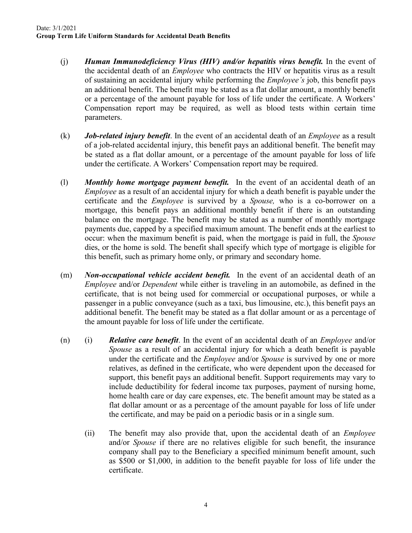- (j) *Human Immunodeficiency Virus (HIV) and/or hepatitis virus benefit.* In the event of the accidental death of an *Employee* who contracts the HIV or hepatitis virus as a result of sustaining an accidental injury while performing the *Employee's* job, this benefit pays an additional benefit. The benefit may be stated as a flat dollar amount, a monthly benefit or a percentage of the amount payable for loss of life under the certificate. A Workers' Compensation report may be required, as well as blood tests within certain time parameters.
- (k) *Job-related injury benefit*. In the event of an accidental death of an *Employee* as a result of a job-related accidental injury, this benefit pays an additional benefit. The benefit may be stated as a flat dollar amount, or a percentage of the amount payable for loss of life under the certificate. A Workers' Compensation report may be required.
- (l) *Monthly home mortgage payment benefit.* In the event of an accidental death of an *Employee* as a result of an accidental injury for which a death benefit is payable under the certificate and the *Employee* is survived by a *Spouse,* who is a co-borrower on a mortgage, this benefit pays an additional monthly benefit if there is an outstanding balance on the mortgage. The benefit may be stated as a number of monthly mortgage payments due, capped by a specified maximum amount. The benefit ends at the earliest to occur: when the maximum benefit is paid, when the mortgage is paid in full, the *Spouse* dies, or the home is sold. The benefit shall specify which type of mortgage is eligible for this benefit, such as primary home only, or primary and secondary home.
- (m) *Non-occupational vehicle accident benefit.* In the event of an accidental death of an *Employee* and/or *Dependent* while either is traveling in an automobile, as defined in the certificate, that is not being used for commercial or occupational purposes, or while a passenger in a public conveyance (such as a taxi, bus limousine, etc.), this benefit pays an additional benefit. The benefit may be stated as a flat dollar amount or as a percentage of the amount payable for loss of life under the certificate.
- (n) (i) *Relative care benefit*. In the event of an accidental death of an *Employee* and/or *Spouse* as a result of an accidental injury for which a death benefit is payable under the certificate and the *Employee* and/or *Spouse* is survived by one or more relatives, as defined in the certificate, who were dependent upon the deceased for support, this benefit pays an additional benefit. Support requirements may vary to include deductibility for federal income tax purposes, payment of nursing home, home health care or day care expenses, etc. The benefit amount may be stated as a flat dollar amount or as a percentage of the amount payable for loss of life under the certificate, and may be paid on a periodic basis or in a single sum.
	- (ii) The benefit may also provide that, upon the accidental death of an *Employee* and/or *Spouse* if there are no relatives eligible for such benefit, the insurance company shall pay to the Beneficiary a specified minimum benefit amount, such as \$500 or \$1,000, in addition to the benefit payable for loss of life under the certificate.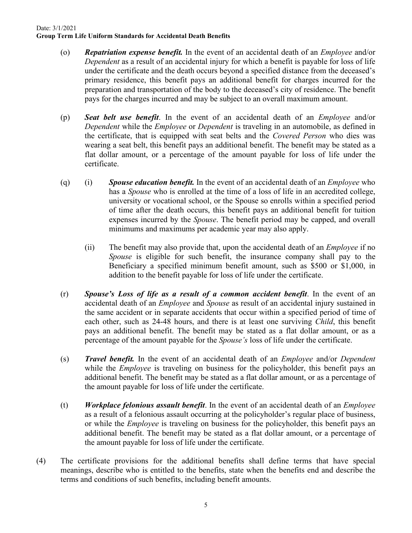- (o) *Repatriation expense benefit.* In the event of an accidental death of an *Employee* and/or *Dependent* as a result of an accidental injury for which a benefit is payable for loss of life under the certificate and the death occurs beyond a specified distance from the deceased's primary residence, this benefit pays an additional benefit for charges incurred for the preparation and transportation of the body to the deceased's city of residence. The benefit pays for the charges incurred and may be subject to an overall maximum amount.
- (p) *Seat belt use benefit*. In the event of an accidental death of an *Employee* and/or *Dependent* while the *Employee* or *Dependent* is traveling in an automobile, as defined in the certificate, that is equipped with seat belts and the *Covered Person* who dies was wearing a seat belt, this benefit pays an additional benefit. The benefit may be stated as a flat dollar amount, or a percentage of the amount payable for loss of life under the certificate.
- (q) (i) *Spouse education benefit.* In the event of an accidental death of an *Employee* who has a *Spouse* who is enrolled at the time of a loss of life in an accredited college, university or vocational school, or the Spouse so enrolls within a specified period of time after the death occurs, this benefit pays an additional benefit for tuition expenses incurred by the *Spouse*. The benefit period may be capped, and overall minimums and maximums per academic year may also apply.
	- (ii) The benefit may also provide that, upon the accidental death of an *Employee* if no *Spouse* is eligible for such benefit, the insurance company shall pay to the Beneficiary a specified minimum benefit amount, such as \$500 or \$1,000, in addition to the benefit payable for loss of life under the certificate.
- (r) *Spouse's Loss of life as a result of a common accident benefit*. In the event of an accidental death of an *Employee* and *Spouse* as result of an accidental injury sustained in the same accident or in separate accidents that occur within a specified period of time of each other, such as 24-48 hours, and there is at least one surviving *Child*, this benefit pays an additional benefit. The benefit may be stated as a flat dollar amount, or as a percentage of the amount payable for the *Spouse's* loss of life under the certificate.
- (s) *Travel benefit.* In the event of an accidental death of an *Employee* and/or *Dependent* while the *Employee* is traveling on business for the policyholder, this benefit pays an additional benefit. The benefit may be stated as a flat dollar amount, or as a percentage of the amount payable for loss of life under the certificate.
- (t) *Workplace felonious assault benefit*. In the event of an accidental death of an *Employee* as a result of a felonious assault occurring at the policyholder's regular place of business, or while the *Employee* is traveling on business for the policyholder, this benefit pays an additional benefit. The benefit may be stated as a flat dollar amount, or a percentage of the amount payable for loss of life under the certificate.
- (4) The certificate provisions for the additional benefits shall define terms that have special meanings, describe who is entitled to the benefits, state when the benefits end and describe the terms and conditions of such benefits, including benefit amounts.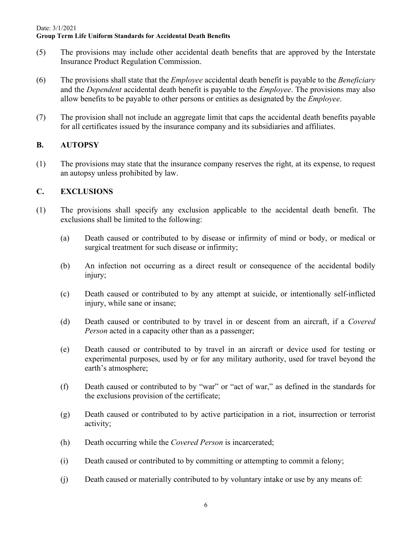- (5) The provisions may include other accidental death benefits that are approved by the Interstate Insurance Product Regulation Commission.
- (6) The provisions shall state that the *Employee* accidental death benefit is payable to the *Beneficiary* and the *Dependent* accidental death benefit is payable to the *Employee*. The provisions may also allow benefits to be payable to other persons or entities as designated by the *Employee*.
- (7) The provision shall not include an aggregate limit that caps the accidental death benefits payable for all certificates issued by the insurance company and its subsidiaries and affiliates.

# **B. AUTOPSY**

(1) The provisions may state that the insurance company reserves the right, at its expense, to request an autopsy unless prohibited by law.

# **C. EXCLUSIONS**

- (1) The provisions shall specify any exclusion applicable to the accidental death benefit. The exclusions shall be limited to the following:
	- (a) Death caused or contributed to by disease or infirmity of mind or body, or medical or surgical treatment for such disease or infirmity;
	- (b) An infection not occurring as a direct result or consequence of the accidental bodily injury;
	- (c) Death caused or contributed to by any attempt at suicide, or intentionally self-inflicted injury, while sane or insane;
	- (d) Death caused or contributed to by travel in or descent from an aircraft, if a *Covered Person* acted in a capacity other than as a passenger;
	- (e) Death caused or contributed to by travel in an aircraft or device used for testing or experimental purposes, used by or for any military authority, used for travel beyond the earth's atmosphere;
	- (f) Death caused or contributed to by "war" or "act of war," as defined in the standards for the exclusions provision of the certificate;
	- (g) Death caused or contributed to by active participation in a riot, insurrection or terrorist activity;
	- (h) Death occurring while the *Covered Person* is incarcerated;
	- (i) Death caused or contributed to by committing or attempting to commit a felony;
	- (j) Death caused or materially contributed to by voluntary intake or use by any means of: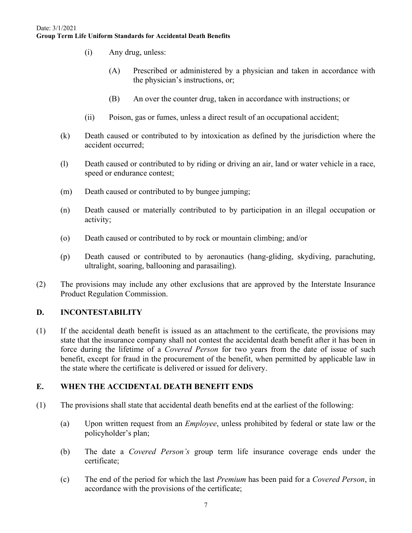- (i) Any drug, unless:
	- (A) Prescribed or administered by a physician and taken in accordance with the physician's instructions, or;
	- (B) An over the counter drug, taken in accordance with instructions; or
- (ii) Poison, gas or fumes, unless a direct result of an occupational accident;
- (k) Death caused or contributed to by intoxication as defined by the jurisdiction where the accident occurred;
- (l) Death caused or contributed to by riding or driving an air, land or water vehicle in a race, speed or endurance contest;
- (m) Death caused or contributed to by bungee jumping;
- (n) Death caused or materially contributed to by participation in an illegal occupation or activity;
- (o) Death caused or contributed to by rock or mountain climbing; and/or
- (p) Death caused or contributed to by aeronautics (hang-gliding, skydiving, parachuting, ultralight, soaring, ballooning and parasailing).
- (2) The provisions may include any other exclusions that are approved by the Interstate Insurance Product Regulation Commission.

# **D. INCONTESTABILITY**

(1) If the accidental death benefit is issued as an attachment to the certificate, the provisions may state that the insurance company shall not contest the accidental death benefit after it has been in force during the lifetime of a *Covered Person* for two years from the date of issue of such benefit, except for fraud in the procurement of the benefit, when permitted by applicable law in the state where the certificate is delivered or issued for delivery.

# **E. WHEN THE ACCIDENTAL DEATH BENEFIT ENDS**

- (1) The provisions shall state that accidental death benefits end at the earliest of the following:
	- (a) Upon written request from an *Employee*, unless prohibited by federal or state law or the policyholder's plan;
	- (b) The date a *Covered Person's* group term life insurance coverage ends under the certificate;
	- (c) The end of the period for which the last *Premium* has been paid for a *Covered Person*, in accordance with the provisions of the certificate;